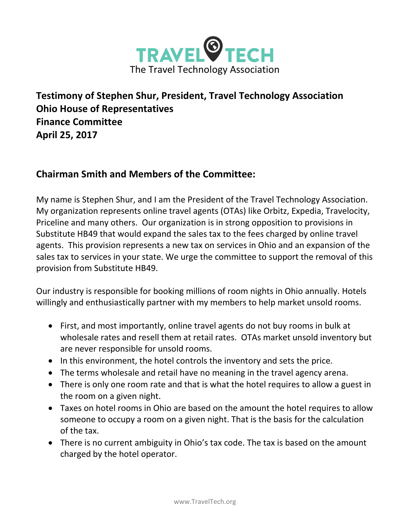

**Testimony of Stephen Shur, President, Travel Technology Association Ohio House of Representatives Finance Committee April 25, 2017**

## **Chairman Smith and Members of the Committee:**

My name is Stephen Shur, and I am the President of the Travel Technology Association. My organization represents online travel agents (OTAs) like Orbitz, Expedia, Travelocity, Priceline and many others. Our organization is in strong opposition to provisions in Substitute HB49 that would expand the sales tax to the fees charged by online travel agents. This provision represents a new tax on services in Ohio and an expansion of the sales tax to services in your state. We urge the committee to support the removal of this provision from Substitute HB49.

Our industry is responsible for booking millions of room nights in Ohio annually. Hotels willingly and enthusiastically partner with my members to help market unsold rooms.

- First, and most importantly, online travel agents do not buy rooms in bulk at wholesale rates and resell them at retail rates. OTAs market unsold inventory but are never responsible for unsold rooms.
- In this environment, the hotel controls the inventory and sets the price.
- The terms wholesale and retail have no meaning in the travel agency arena.
- There is only one room rate and that is what the hotel requires to allow a guest in the room on a given night.
- Taxes on hotel rooms in Ohio are based on the amount the hotel requires to allow someone to occupy a room on a given night. That is the basis for the calculation of the tax.
- There is no current ambiguity in Ohio's tax code. The tax is based on the amount charged by the hotel operator.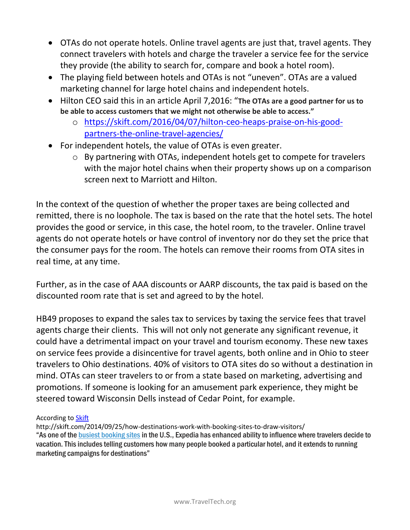- OTAs do not operate hotels. Online travel agents are just that, travel agents. They connect travelers with hotels and charge the traveler a service fee for the service they provide (the ability to search for, compare and book a hotel room).
- The playing field between hotels and OTAs is not "uneven". OTAs are a valued marketing channel for large hotel chains and independent hotels.
- Hilton CEO said this in an article April 7,2016: "**The OTAs are a good partner for us to be able to access customers that we might not otherwise be able to access."**
	- o [https://skift.com/2016/04/07/hilton-ceo-heaps-praise-on-his-good](https://skift.com/2016/04/07/hilton-ceo-heaps-praise-on-his-good-partners-the-online-travel-agencies/)[partners-the-online-travel-agencies/](https://skift.com/2016/04/07/hilton-ceo-heaps-praise-on-his-good-partners-the-online-travel-agencies/)
- For independent hotels, the value of OTAs is even greater.
	- o By partnering with OTAs, independent hotels get to compete for travelers with the major hotel chains when their property shows up on a comparison screen next to Marriott and Hilton.

In the context of the question of whether the proper taxes are being collected and remitted, there is no loophole. The tax is based on the rate that the hotel sets. The hotel provides the good or service, in this case, the hotel room, to the traveler. Online travel agents do not operate hotels or have control of inventory nor do they set the price that the consumer pays for the room. The hotels can remove their rooms from OTA sites in real time, at any time.

Further, as in the case of AAA discounts or AARP discounts, the tax paid is based on the discounted room rate that is set and agreed to by the hotel.

HB49 proposes to expand the sales tax to services by taxing the service fees that travel agents charge their clients. This will not only not generate any significant revenue, it could have a detrimental impact on your travel and tourism economy. These new taxes on service fees provide a disincentive for travel agents, both online and in Ohio to steer travelers to Ohio destinations. 40% of visitors to OTA sites do so without a destination in mind. OTAs can steer travelers to or from a state based on marketing, advertising and promotions. If someone is looking for an amusement park experience, they might be steered toward Wisconsin Dells instead of Cedar Point, for example.

According to [Skift](http://www.hotelmarketing.com/)

http://skift.com/2014/09/25/how-destinations-work-with-booking-sites-to-draw-visitors/ "As one of the busiest booking sites in the U.S., Expedia has enhanced ability to influence where travelers decide to vacation. This includes telling customers how many people booked a particular hotel, and it extends to running marketing campaigns for destinations"